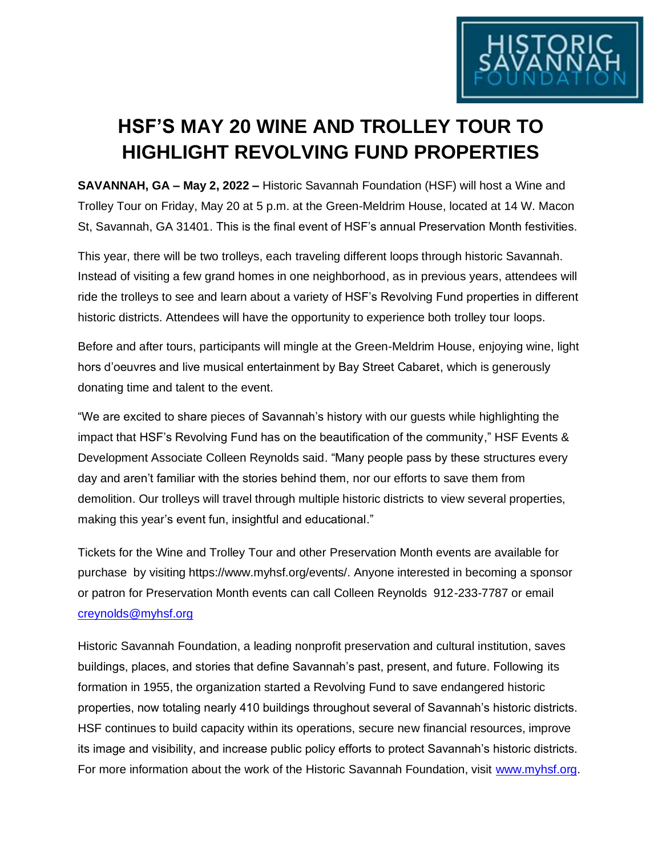

## **HSF'S MAY 20 WINE AND TROLLEY TOUR TO HIGHLIGHT REVOLVING FUND PROPERTIES**

**SAVANNAH, GA – May 2, 2022 –** Historic Savannah Foundation (HSF) will host a Wine and Trolley Tour on Friday, May 20 at 5 p.m. at the Green-Meldrim House, located at 14 W. Macon St, Savannah, GA 31401. This is the final event of HSF's annual Preservation Month festivities.

This year, there will be two trolleys, each traveling different loops through historic Savannah. Instead of visiting a few grand homes in one neighborhood, as in previous years, attendees will ride the trolleys to see and learn about a variety of HSF's Revolving Fund properties in different historic districts. Attendees will have the opportunity to experience both trolley tour loops.

Before and after tours, participants will mingle at the Green-Meldrim House, enjoying wine, light hors d'oeuvres and live musical entertainment by Bay Street Cabaret, which is generously donating time and talent to the event.

"We are excited to share pieces of Savannah's history with our guests while highlighting the impact that HSF's Revolving Fund has on the beautification of the community," HSF Events & Development Associate Colleen Reynolds said. "Many people pass by these structures every day and aren't familiar with the stories behind them, nor our efforts to save them from demolition. Our trolleys will travel through multiple historic districts to view several properties, making this year's event fun, insightful and educational."

Tickets for the Wine and Trolley Tour and other Preservation Month events are available for purchase by visiting https://www.myhsf.org/events/. Anyone interested in becoming a sponsor or patron for Preservation Month events can call Colleen Reynolds 912-233-7787 or email [creynolds@myhsf.org](mailto:creynolds@myhsf.org)

Historic Savannah Foundation, a leading nonprofit preservation and cultural institution, saves buildings, places, and stories that define Savannah's past, present, and future. Following its formation in 1955, the organization started a Revolving Fund to save endangered historic properties, now totaling nearly 410 buildings throughout several of Savannah's historic districts. HSF continues to build capacity within its operations, secure new financial resources, improve its image and visibility, and increase public policy efforts to protect Savannah's historic districts. For more information about the work of the Historic Savannah Foundation, visit [www.myhsf.org.](http://www.myhsf.org/)